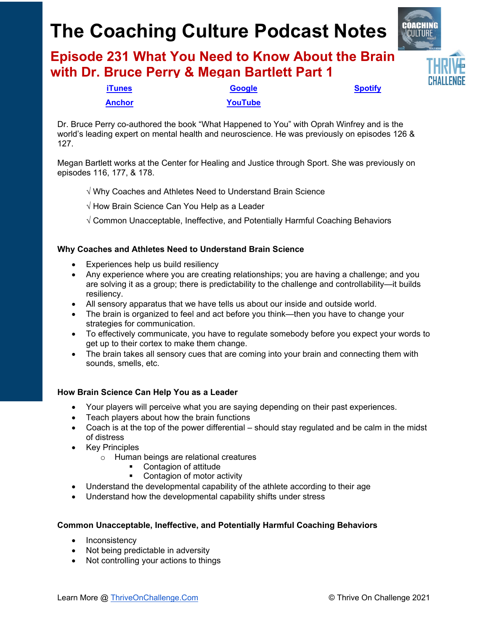# **The Coaching Culture Podcast Notes**

**Episode 231 What You Need to Know About the Brain with Dr. Bruce Perry & Megan Bartlett Part 1**



Dr. Bruce Perry co-authored the book "What Happened to You" with Oprah Winfrey and is the world's leading expert on mental health and neuroscience. He was previously on episodes 126 & 127.

Megan Bartlett works at the Center for Healing and Justice through Sport. She was previously on episodes 116, 177, & 178.

√ Why Coaches and Athletes Need to Understand Brain Science

√ How Brain Science Can You Help as a Leader

√ Common Unacceptable, Ineffective, and Potentially Harmful Coaching Behaviors

#### **Why Coaches and Athletes Need to Understand Brain Science**

- Experiences help us build resiliency
- Any experience where you are creating relationships; you are having a challenge; and you are solving it as a group; there is predictability to the challenge and controllability—it builds resiliency.
- All sensory apparatus that we have tells us about our inside and outside world.
- The brain is organized to feel and act before you think—then you have to change your strategies for communication.
- To effectively communicate, you have to regulate somebody before you expect your words to get up to their cortex to make them change.
- The brain takes all sensory cues that are coming into your brain and connecting them with sounds, smells, etc.

#### **How Brain Science Can Help You as a Leader**

- Your players will perceive what you are saying depending on their past experiences.
- Teach players about how the brain functions
- Coach is at the top of the power differential should stay regulated and be calm in the midst of distress
- Key Principles
	- o Human beings are relational creatures
		- Contagion of attitude
		- Contagion of motor activity
- Understand the developmental capability of the athlete according to their age
- Understand how the developmental capability shifts under stress

#### **Common Unacceptable, Ineffective, and Potentially Harmful Coaching Behaviors**

- Inconsistency
- Not being predictable in adversity
- Not controlling your actions to things